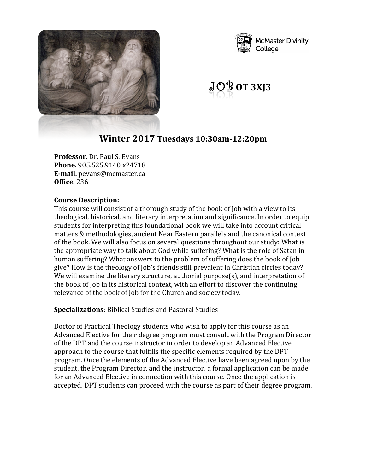



 $JOP$  ot 3XJ3

# **Winter 2017 Tuesdays 10:30am-12:20pm**

**Professor.** Dr. Paul S. Evans **Phone.** 905.525.9140 x24718 **E-mail.** pevans@mcmaster.ca **Office.** 236

#### **Course Description:**

This course will consist of a thorough study of the book of Job with a view to its theological, historical, and literary interpretation and significance. In order to equip students for interpreting this foundational book we will take into account critical matters & methodologies, ancient Near Eastern parallels and the canonical context of the book. We will also focus on several questions throughout our study: What is the appropriate way to talk about God while suffering? What is the role of Satan in human suffering? What answers to the problem of suffering does the book of Job give? How is the theology of Job's friends still prevalent in Christian circles today? We will examine the literary structure, authorial purpose(s), and interpretation of the book of Job in its historical context, with an effort to discover the continuing relevance of the book of Job for the Church and society today.

#### **Specializations**: Biblical Studies and Pastoral Studies

Doctor of Practical Theology students who wish to apply for this course as an Advanced Elective for their degree program must consult with the Program Director of the DPT and the course instructor in order to develop an Advanced Elective approach to the course that fulfills the specific elements required by the DPT program. Once the elements of the Advanced Elective have been agreed upon by the student, the Program Director, and the instructor, a formal application can be made for an Advanced Elective in connection with this course. Once the application is accepted, DPT students can proceed with the course as part of their degree program.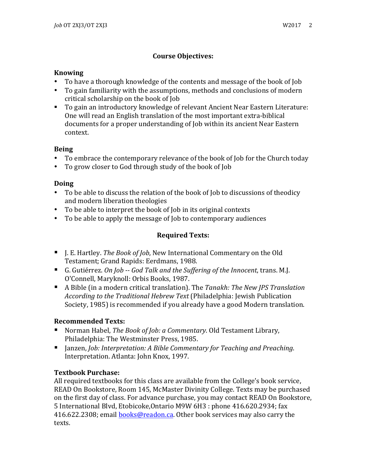# **Course Objectives:**

#### **Knowing**

- To have a thorough knowledge of the contents and message of the book of Job
- To gain familiarity with the assumptions, methods and conclusions of modern critical scholarship on the book of Job
- To gain an introductory knowledge of relevant Ancient Near Eastern Literature: One will read an English translation of the most important extra-biblical documents for a proper understanding of Job within its ancient Near Eastern context.

#### **Being**

- To embrace the contemporary relevance of the book of Job for the Church today
- To grow closer to God through study of the book of Job

## **Doing**

- To be able to discuss the relation of the book of Job to discussions of theodicy and modern liberation theologies
- To be able to interpret the book of Job in its original contexts
- To be able to apply the message of Job to contemporary audiences

# **Required Texts:**

- J. E. Hartley. *The Book of Job*, New International Commentary on the Old Testament; Grand Rapids: Eerdmans, 1988.
- G. Gutiérrez. *On Job -- God Talk and the Suffering of the Innocent*, trans. M.J. O'Connell, Maryknoll: Orbis Books, 1987.
- A Bible (in a modern critical translation). The *Tanakh: The New JPS Translation According to the Traditional Hebrew Text* (Philadelphia: Jewish Publication Society, 1985) is recommended if you already have a good Modern translation.

## **Recommended Texts:**

- Norman Habel, *The Book of Job: a Commentary*. Old Testament Library, Philadelphia: The Westminster Press, 1985.
- Janzen, *Job: Interpretation: A Bible Commentary for Teaching and Preaching.* Interpretation. Atlanta: John Knox, 1997.

## **Textbook Purchase:**

All required textbooks for this class are available from the College's book service, READ On Bookstore, Room 145, McMaster Divinity College. Texts may be purchased on the first day of class. For advance purchase, you may contact READ On Bookstore, 5 International Blvd, Etobicoke, Ontario M9W 6H3 : phone 416.620.2934; fax 416.622.2308; email **books@readon.ca.** Other book services may also carry the texts.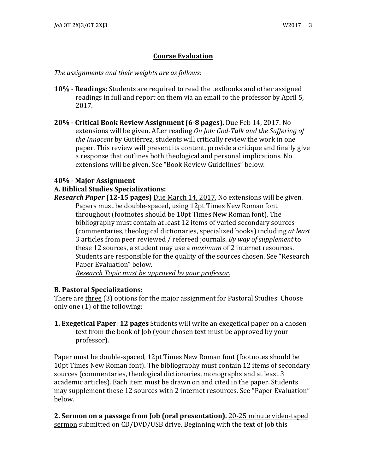## **Course Evaluation**

The assignments and their weights are as follows:

- **10% Readings:** Students are required to read the textbooks and other assigned readings in full and report on them via an email to the professor by April 5, 2017.
- **20% - Critical Book Review Assignment (6-8 pages).** Due Feb 14, 2017. No extensions will be given. After reading *On Job: God-Talk and the Suffering of the Innocent* by Gutiérrez, students will critically review the work in one paper. This review will present its content, provide a critique and finally give a response that outlines both theological and personal implications. No extensions will be given. See "Book Review Guidelines" below.

#### **40% - Major Assignment**

#### **A. Biblical Studies Specializations:**

*Research Paper* (12-15 pages) Due March 14, 2017. No extensions will be given. Papers must be double-spaced, using 12pt Times New Roman font throughout (footnotes should be 10pt Times New Roman font). The bibliography must contain at least 12 items of varied secondary sources (commentaries, theological dictionaries, specialized books) including *at least* 3 articles from peer reviewed / refereed journals. *By way of supplement* to these 12 sources, a student may use a *maximum* of 2 internet resources. Students are responsible for the quality of the sources chosen. See "Research Paper Evaluation" below.

*Research Topic must be approved by your professor.*

#### **B. Pastoral Specializations:**

There are three (3) options for the major assignment for Pastoral Studies: Choose only one  $(1)$  of the following:

**1. Exegetical Paper: 12 pages** Students will write an exegetical paper on a chosen text from the book of Job (your chosen text must be approved by your professor).

Paper must be double-spaced, 12pt Times New Roman font (footnotes should be 10pt Times New Roman font). The bibliography must contain 12 items of secondary sources (commentaries, theological dictionaries, monographs and at least 3 academic articles). Each item must be drawn on and cited in the paper. Students may supplement these 12 sources with 2 internet resources. See "Paper Evaluation" below. 

**2. Sermon on a passage from Job (oral presentation).** 20-25 minute video-taped sermon submitted on CD/DVD/USB drive. Beginning with the text of Job this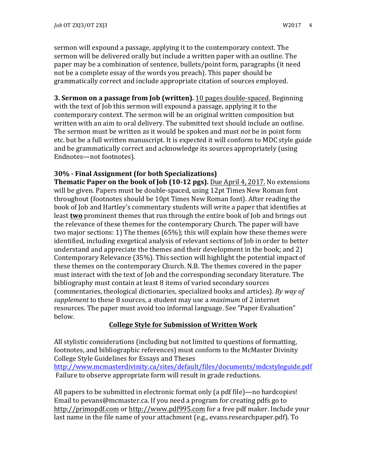sermon will expound a passage, applying it to the contemporary context. The sermon will be delivered orally but include a written paper with an outline. The paper may be a combination of sentence, bullets/point form, paragraphs (it need not be a complete essay of the words you preach). This paper should be grammatically correct and include appropriate citation of sources employed.

**3. Sermon on a passage from Job (written).** 10 pages double-spaced. Beginning with the text of Job this sermon will expound a passage, applying it to the contemporary context. The sermon will be an original written composition but written with an aim to oral delivery. The submitted text should include an outline. The sermon must be written as it would be spoken and must *not* be in point form etc. but be a full written manuscript. It is expected it will conform to MDC style guide and be grammatically correct and acknowledge its sources appropriately (using Endnotes—not footnotes).

#### **30% - Final Assignment (for both Specializations)**

**Thematic Paper on the book of Job (10-12 pgs).** Due April 4, 2017. No extensions will be given. Papers must be double-spaced, using 12pt Times New Roman font throughout (footnotes should be 10pt Times New Roman font). After reading the book of Job and Hartley's commentary students will write a paper that identifies at least **two** prominent themes that run through the entire book of Job and brings out the relevance of these themes for the contemporary Church. The paper will have two major sections: 1) The themes  $(65%)$ ; this will explain how these themes were identified, including exegetical analysis of relevant sections of Job in order to better understand and appreciate the themes and their development in the book; and  $2)$ Contemporary Relevance (35%). This section will highlight the potential impact of these themes on the contemporary Church. N.B. The themes covered in the paper must interact with the text of Job and the corresponding secondary literature. The bibliography must contain at least 8 items of varied secondary sources (commentaries, theological dictionaries, specialized books and articles). By way of *supplement* to these 8 sources, a student may use a *maximum* of 2 internet resources. The paper must avoid too informal language. See "Paper Evaluation" below.

#### **College Style for Submission of Written Work**

All stylistic considerations (including but not limited to questions of formatting, footnotes, and bibliographic references) must conform to the McMaster Divinity College Style Guidelines for Essays and Theses http://www.mcmasterdivinity.ca/sites/default/files/documents/mdcstyleguide.pdf

Failure to observe appropriate form will result in grade reductions.

All papers to be submitted in electronic format only (a pdf file)—no hardcopies! Email to pevans@mcmaster.ca. If you need a program for creating pdfs go to http://primopdf.com or http://www.pdf995.com for a free pdf maker. Include your last name in the file name of your attachment (e.g., evans.researchpaper.pdf). To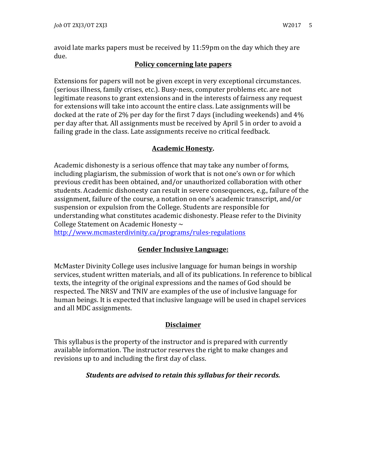avoid late marks papers must be received by  $11:59$ pm on the day which they are due.

## **Policy concerning late papers**

Extensions for papers will not be given except in very exceptional circumstances. (serious illness, family crises, etc.). Busy-ness, computer problems etc. are not legitimate reasons to grant extensions and in the interests of fairness any request for extensions will take into account the entire class. Late assignments will be docked at the rate of 2% per day for the first  $7$  days (including weekends) and  $4\%$ per day after that. All assignments must be received by April 5 in order to avoid a failing grade in the class. Late assignments receive no critical feedback.

## **Academic Honesty.**

Academic dishonesty is a serious offence that may take any number of forms, including plagiarism, the submission of work that is not one's own or for which previous credit has been obtained, and/or unauthorized collaboration with other students. Academic dishonesty can result in severe consequences, e.g., failure of the assignment, failure of the course, a notation on one's academic transcript, and/or suspension or expulsion from the College. Students are responsible for understanding what constitutes academic dishonesty. Please refer to the Divinity College Statement on Academic Honesty  $\sim$ 

http://www.mcmasterdivinity.ca/programs/rules-regulations

## **Gender Inclusive Language:**

McMaster Divinity College uses inclusive language for human beings in worship services, student written materials, and all of its publications. In reference to biblical texts, the integrity of the original expressions and the names of God should be respected. The NRSV and TNIV are examples of the use of inclusive language for human beings. It is expected that inclusive language will be used in chapel services and all MDC assignments.

## **Disclaimer**

This syllabus is the property of the instructor and is prepared with currently available information. The instructor reserves the right to make changes and revisions up to and including the first day of class.

## *Students are advised to retain this syllabus for their records.*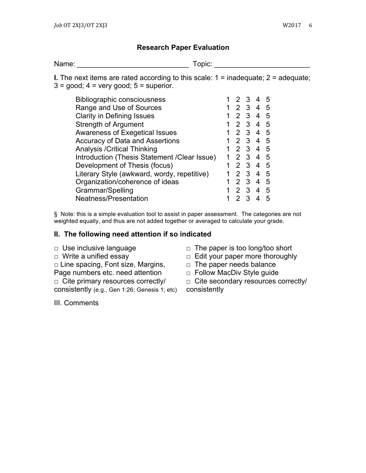#### **Research Paper Evaluation**

Name: Topic: The Communication of the Communication of the Communication of the Communication of the Communication of the Communication of the Communication of the Communication of the Communication of the Communication of

**I.** The next items are rated according to this scale:  $1 =$  inadequate;  $2 =$  adequate;  $3 = \text{good}$ ;  $4 = \text{very good}$ ;  $5 = \text{superior}$ .

| <b>Bibliographic consciousness</b>            |    | 12            | - 3                     |                | 5  |
|-----------------------------------------------|----|---------------|-------------------------|----------------|----|
| Range and Use of Sources                      |    | 2             | $3\quad 4$              |                | -5 |
| <b>Clarity in Defining Issues</b>             |    |               | $2 \quad 3$             | 4              | -5 |
| <b>Strength of Argument</b>                   | 1. | $\mathcal{P}$ | $3\quad 4$              |                | -5 |
| <b>Awareness of Exegetical Issues</b>         |    | 2             | $\overline{3}$          | 4              | -5 |
| Accuracy of Data and Assertions               |    | 2 3           |                         | 4              | -5 |
| <b>Analysis / Critical Thinking</b>           |    |               | 2 3                     | 4              | -5 |
| Introduction (Thesis Statement / Clear Issue) |    | $\mathcal{P}$ | -3                      | 4              | -5 |
| Development of Thesis (focus)                 |    |               | $2 \t3 \t4$             |                | -5 |
| Literary Style (awkward, wordy, repetitive)   |    | $\mathcal{P}$ | $\mathbf{3}$            | $\overline{4}$ | -5 |
| Organization/coherence of ideas               |    | $\mathcal{P}$ | -3                      | 4              | 5  |
| Grammar/Spelling                              |    | $\mathcal{P}$ | $\overline{\mathbf{3}}$ | 4              | -5 |
| Neatness/Presentation                         |    | 2             | $\mathcal{R}$           |                | 5  |
|                                               |    |               |                         |                |    |

§ Note: this is a simple evaluation tool to assist in paper assessment. The categories are not weighted equally, and thus are not added together or averaged to calculate your grade.

#### **II. The following need attention if so indicated**

- 
- □ Line spacing, Font size, Margins,
- Page numbers etc. need attention

 $\Box$  Cite primary resources correctly/

consistently (e.g., Gen 1:26; Genesis 1; etc)

III. Comments

- □ Use inclusive language □ □ The paper is too long/too short
- □ Write a unified essay □ □ Edit your paper more thoroughly
	- $\Box$  The paper needs balance
	- □ Follow MacDiv Style guide

□ Cite secondary resources correctly/ consistently